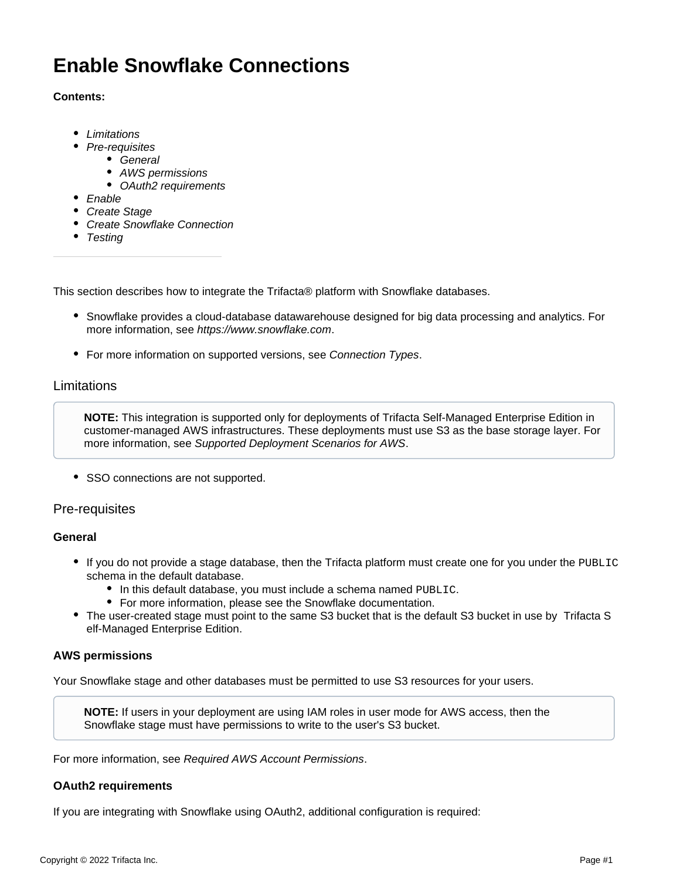# **Enable Snowflake Connections**

#### **Contents:**

- [Limitations](#page-0-0)
- [Pre-requisites](#page-0-1)
	- [General](#page-0-2)
	- [AWS permissions](#page-0-3)
	- [OAuth2 requirements](#page-0-4)
- [Enable](#page-1-0)
- [Create Stage](#page-1-1)
- [Create Snowflake Connection](#page-1-2)
- [Testing](#page-1-3)

This section describes how to integrate the Trifacta® platform with Snowflake databases.

- Snowflake provides a cloud-database datawarehouse designed for big data processing and analytics. For more information, see <https://www.snowflake.com>.
- For more information on supported versions, see [Connection Types](https://docs.trifacta.com/display/r082/Connection+Types).

# <span id="page-0-0"></span>Limitations

**NOTE:** This integration is supported only for deployments of Trifacta Self-Managed Enterprise Edition in customer-managed AWS infrastructures. These deployments must use S3 as the base storage layer. For more information, see [Supported Deployment Scenarios for AWS](https://docs.trifacta.com/display/r082/Supported+Deployment+Scenarios+for+AWS).

• SSO connections are not supported.

### <span id="page-0-1"></span>Pre-requisites

### <span id="page-0-2"></span>**General**

- If you do not provide a stage database, then the Trifacta platform must create one for you under the PUBLIC schema in the default database.
	- In this default database, you must include a schema named PUBLIC.
	- For more information, please see the Snowflake documentation.
- The user-created stage must point to the same S3 bucket that is the default S3 bucket in use by Trifacta S elf-Managed Enterprise Edition.

### <span id="page-0-3"></span>**AWS permissions**

Your Snowflake stage and other databases must be permitted to use S3 resources for your users.

**NOTE:** If users in your deployment are using IAM roles in user mode for AWS access, then the Snowflake stage must have permissions to write to the user's S3 bucket.

For more information, see [Required AWS Account Permissions](https://docs.trifacta.com/display/r082/Required+AWS+Account+Permissions).

### <span id="page-0-4"></span>**OAuth2 requirements**

If you are integrating with Snowflake using OAuth2, additional configuration is required: